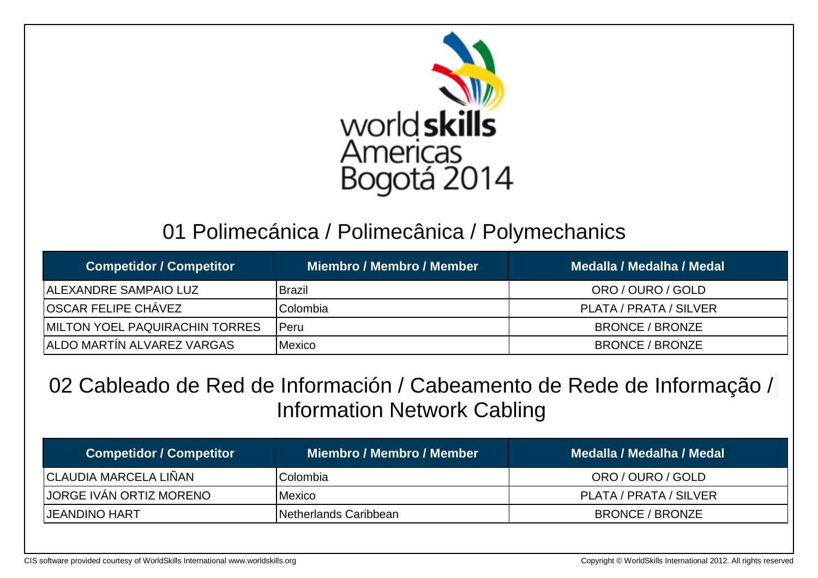

## 01 Polimecánica / Polimecânica / Polymechanics

| <b>Competidor / Competitor</b>         | <b>Miembro / Membro / Member</b> | Medalla / Medalha / Medal |
|----------------------------------------|----------------------------------|---------------------------|
| <b>ALEXANDRE SAMPAIO LUZ</b>           | Brazil                           | ORO / OURO / GOLD         |
| <b>IOSCAR FELIPE CHAVEZ</b>            | Colombia                         | PLATA / PRATA / SILVER    |
| <b>IMILTON YOEL PAQUIRACHIN TORRES</b> | <b>IPeru</b>                     | <b>BRONCE / BRONZE</b>    |
| <b>IALDO MARTIN ALVAREZ VARGAS</b>     | Mexico                           | BRONCE / BRONZE           |

## 02 Cableado de Red de Información / Cabeamento de Rede de Informação / Information Network Cabling

| <b>Competidor / Competitor</b> | l Miembro / Membro / Member <sup>∖</sup> | Medalla / Medalha / Medal |
|--------------------------------|------------------------------------------|---------------------------|
| <b>CLAUDIA MARCELA LIÑAN</b>   | Colombia                                 | ORO / OURO / GOLD         |
| IJORGE IVAN ORTIZ MORENO       | Mexico                                   | PLATA / PRATA / SILVER    |
| IJEANDINO HART                 | <b>INetherlands Caribbean</b>            | BRONCE / BRONZE           |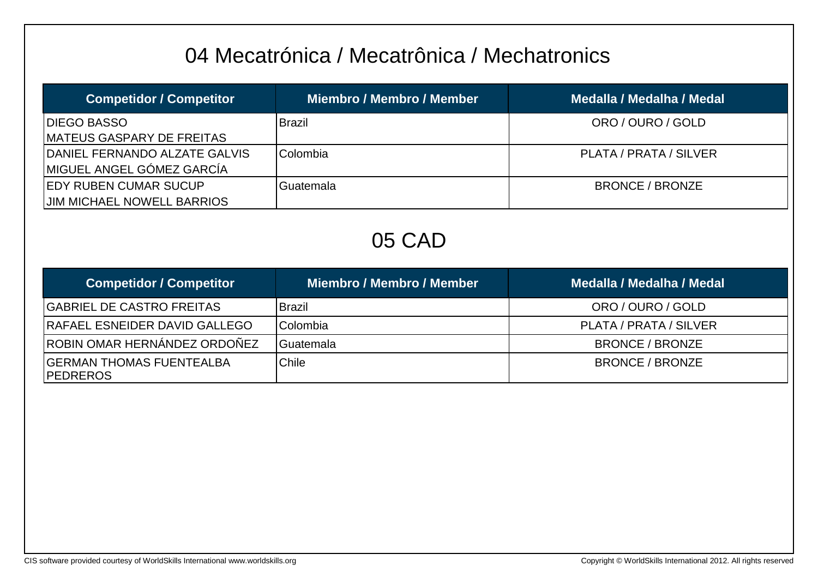## 04 Mecatrónica / Mecatrônica / Mechatronics

| <b>Competidor / Competitor</b>                                      | <b>Miembro / Membro / Member</b> | Medalla / Medalha / Medal |
|---------------------------------------------------------------------|----------------------------------|---------------------------|
| <b>DIEGO BASSO</b><br><b>IMATEUS GASPARY DE FREITAS</b>             | <b>Brazil</b>                    | ORO / OURO / GOLD         |
| <b>IDANIEL FERNANDO ALZATE GALVIS</b><br>IMIGUEL ANGEL GÓMEZ GARCÍA | Colombia                         | PLATA / PRATA / SILVER    |
| <b>IEDY RUBEN CUMAR SUCUP</b><br><b>JIM MICHAEL NOWELL BARRIOS</b>  | Guatemala                        | BRONCE / BRONZE           |

# 05 CAD

| <b>Competidor / Competitor</b>                       | <b>Miembro / Membro / Member</b> | Medalla / Medalha / Medal |
|------------------------------------------------------|----------------------------------|---------------------------|
| <b>GABRIEL DE CASTRO FREITAS</b>                     | Brazil                           | ORO / OURO / GOLD         |
| RAFAEL ESNEIDER DAVID GALLEGO                        | Colombia                         | PLATA / PRATA / SILVER    |
| ROBIN OMAR HERNÁNDEZ ORDOÑEZ                         | <b>IGuatemala</b>                | <b>BRONCE / BRONZE</b>    |
| <b>IGERMAN THOMAS FUENTEALBA</b><br><b>IPEDREROS</b> | Chile                            | <b>BRONCE / BRONZE</b>    |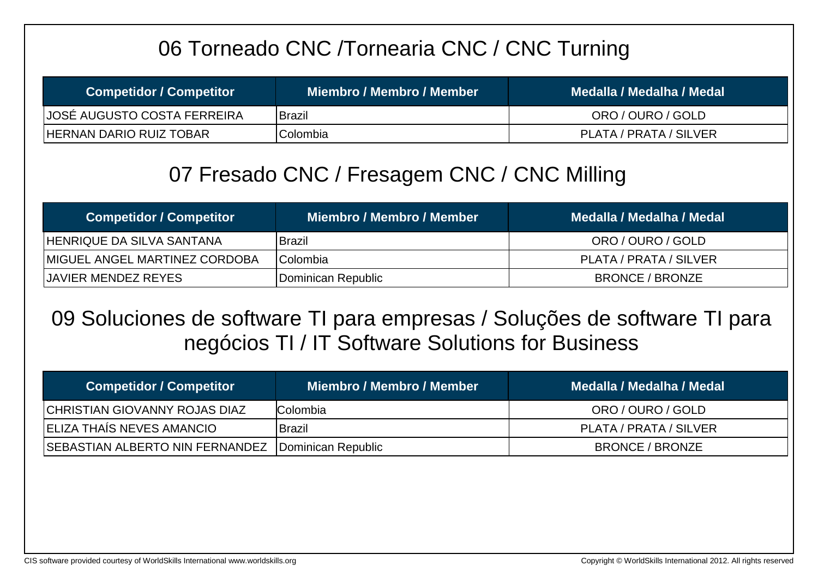## 06 Torneado CNC /Tornearia CNC / CNC Turning

| <b>Competidor / Competitor</b>     | Miembro / Membro / Member | Medalla / Medalha / Medal |
|------------------------------------|---------------------------|---------------------------|
| <b>JOSÉ AUGUSTO COSTA FERREIRA</b> | <b>Brazil</b>             | ORO / OURO / GOLD         |
| <b>IHERNAN DARIO RUIZ TOBAR</b>    | Colombia                  | PLATA / PRATA / SILVER    |

## 07 Fresado CNC / Fresagem CNC / CNC Milling

| <b>Competidor / Competitor</b>        | Miembro / Membro / Member | Medalla / Medalha / Medal |
|---------------------------------------|---------------------------|---------------------------|
| <b>HENRIQUE DA SILVA SANTANA</b>      | Brazil                    | ORO / OURO / GOLD         |
| <b>IMIGUEL ANGEL MARTINEZ CORDOBA</b> | <b>Colombia</b>           | PLATA / PRATA / SILVER    |
| IJAVIER MENDEZ REYES                  | Dominican Republic        | <b>BRONCE / BRONZE</b>    |

## 09 Soluciones de software TI para empresas / Soluções de software TI para negócios TI / IT Software Solutions for Business

| <b>Competidor / Competitor</b>         | Miembro / Membro / Member | Medalla / Medalha / Medal |
|----------------------------------------|---------------------------|---------------------------|
| <b>CHRISTIAN GIOVANNY ROJAS DIAZ</b>   | Colombia                  | ORO / OURO / GOLD         |
| ELIZA THAIS NEVES AMANCIO              | Brazil                    | PLATA / PRATA / SILVER    |
| <b>SEBASTIAN ALBERTO NIN FERNANDEZ</b> | Dominican Republic        | BRONCE / BRONZE           |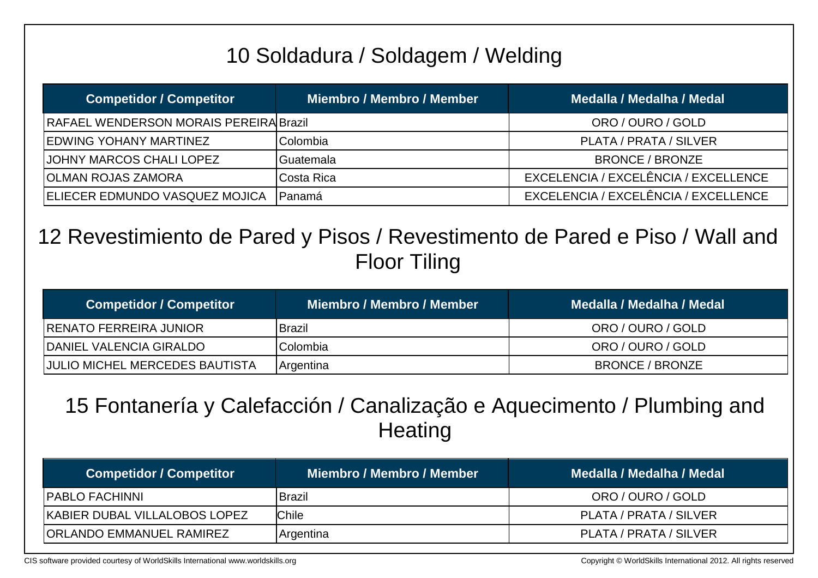# 10 Soldadura / Soldagem / Welding

| <b>Competidor / Competitor</b>         | <b>Miembro / Membro / Member</b> | Medalla / Medalha / Medal            |
|----------------------------------------|----------------------------------|--------------------------------------|
| RAFAEL WENDERSON MORAIS PEREIRA Brazil |                                  | ORO / OURO / GOLD                    |
| <b>EDWING YOHANY MARTINEZ</b>          | Colombia                         | PLATA / PRATA / SILVER               |
| <b>JOHNY MARCOS CHALI LOPEZ</b>        | IGuatemala                       | <b>BRONCE / BRONZE</b>               |
| <b>OLMAN ROJAS ZAMORA</b>              | Costa Rica                       | EXCELENCIA / EXCELÊNCIA / EXCELLENCE |
| <b>ELIECER EDMUNDO VASQUEZ MOJICA</b>  | <b>Panamá</b>                    | EXCELENCIA / EXCELÊNCIA / EXCELLENCE |

## 12 Revestimiento de Pared y Pisos / Revestimento de Pared e Piso / Wall and Floor Tiling

| <b>Competidor / Competitor</b>        | Miembro / Membro / Member | Medalla / Medalha / Medal |
|---------------------------------------|---------------------------|---------------------------|
| <b>IRENATO FERREIRA JUNIOR</b>        | <b>Brazil</b>             | ORO / OURO / GOLD         |
| <b>IDANIEL VALENCIA GIRALDO</b>       | lColombia                 | ORO / OURO / GOLD         |
| <b>JULIO MICHEL MERCEDES BAUTISTA</b> | Argentina                 | <b>BRONCE / BRONZE</b>    |

## 15 Fontanería y Calefacción / Canalização e Aquecimento / Plumbing and **Heating**

| <b>Competidor / Competitor</b>        | Miembro / Membro / Member | ∣ Medalla / Medalha / Medal ˈ |
|---------------------------------------|---------------------------|-------------------------------|
| IPABLO FACHINNI                       | <b>Brazil</b>             | ORO / OURO / GOLD             |
| <b>IKABIER DUBAL VILLALOBOS LOPEZ</b> | Chile                     | PLATA / PRATA / SILVER        |
| <b>IORLANDO EMMANUEL RAMIREZ</b>      | Argentina                 | PLATA / PRATA / SILVER        |

[CIS software provided courtesy of WorldSkills International www.worldskills.org](http://www.worldskills.org/) Copyright © WorldSkills International 2012. All rights reserved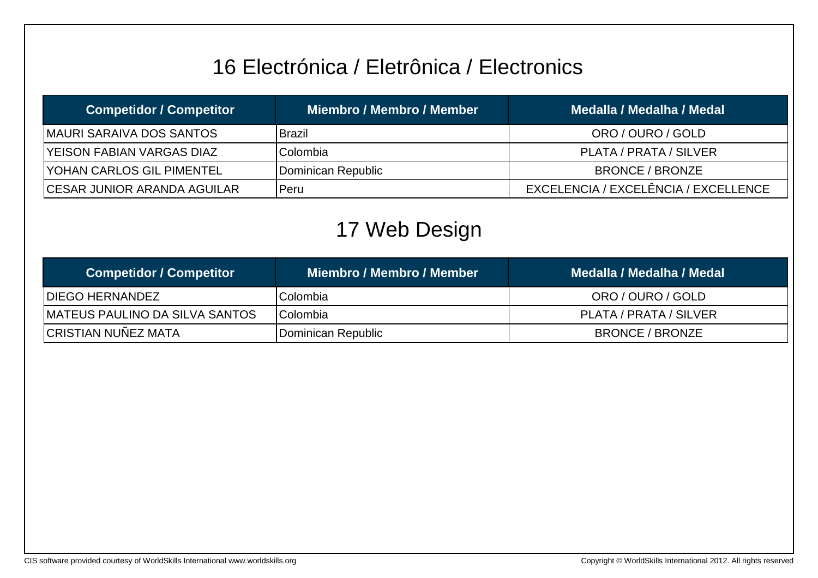## 16 Electrónica / Eletrônica / Electronics

| <b>Competidor / Competitor</b>   | Miembro / Membro / Member | Medalla / Medalha / Medal            |
|----------------------------------|---------------------------|--------------------------------------|
| <b>IMAURI SARAIVA DOS SANTOS</b> | Brazil                    | ORO / OURO / GOLD                    |
| YEISON FABIAN VARGAS DIAZ        | Colombia                  | PLATA / PRATA / SILVER               |
| IYOHAN CARLOS GIL PIMENTEL       | Dominican Republic        | BRONCE / BRONZE                      |
| ICESAR JUNIOR ARANDA AGUILAR     | Peru                      | EXCELENCIA / EXCELÊNCIA / EXCELLENCE |

### 17 Web Design

| <b>Competidor / Competitor</b>  | Miembro / Membro / Member | Medalla / Medalha / Medal |
|---------------------------------|---------------------------|---------------------------|
| <b>IDIEGO HERNANDEZ</b>         | <b>IColombia</b>          | ORO / OURO / GOLD         |
| IMATEUS PAULINO DA SILVA SANTOS | <b>IColombia</b>          | PLATA / PRATA / SILVER    |
| <b>CRISTIAN NUÑEZ MATA</b>      | Dominican Republic        | BRONCE / BRONZE           |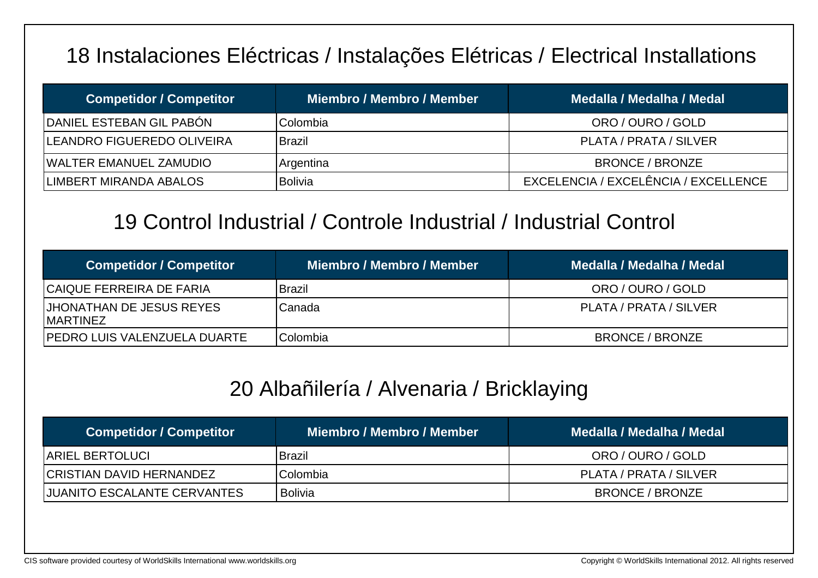## 18 Instalaciones Eléctricas / Instalações Elétricas / Electrical Installations

| <b>Competidor / Competitor</b>    | <b>Miembro / Membro / Member</b> | Medalla / Medalha / Medal            |
|-----------------------------------|----------------------------------|--------------------------------------|
| DANIEL ESTEBAN GIL PABÓN          | Colombia                         | ORO / OURO / GOLD                    |
| <b>LEANDRO FIGUEREDO OLIVEIRA</b> | <b>Brazil</b>                    | PLATA / PRATA / SILVER               |
| <b>WALTER EMANUEL ZAMUDIO</b>     | Argentina                        | BRONCE / BRONZE                      |
| <b>ILIMBERT MIRANDA ABALOS</b>    | <b>Bolivia</b>                   | EXCELENCIA / EXCELÊNCIA / EXCELLENCE |

#### 19 Control Industrial / Controle Industrial / Industrial Control

| <b>Competidor / Competitor</b>               | Miembro / Membro / Member | Medalla / Medalha / Medal |
|----------------------------------------------|---------------------------|---------------------------|
| <b>CAIQUE FERREIRA DE FARIA</b>              | <b>Brazil</b>             | ORO / OURO / GOLD         |
| <b>JHONATHAN DE JESUS REYES</b><br>IMARTINEZ | Canada                    | PLATA / PRATA / SILVER    |
| <b>IPEDRO LUIS VALENZUELA DUARTE</b>         | Colombia                  | BRONCE / BRONZE           |

## 20 Albañilería / Alvenaria / Bricklaying

| <b>Competidor / Competitor</b>     | Miembro / Membro / Member | Medalla / Medalha / Medal |
|------------------------------------|---------------------------|---------------------------|
| <b>IARIEL BERTOLUCI</b>            | <b>IBrazil</b>            | ORO / OURO / GOLD         |
| <b>ICRISTIAN DAVID HERNANDEZ</b>   | <b>IColombia</b>          | PLATA / PRATA / SILVER    |
| <b>JUANITO ESCALANTE CERVANTES</b> | <b>Bolivia</b>            | BRONCE / BRONZE           |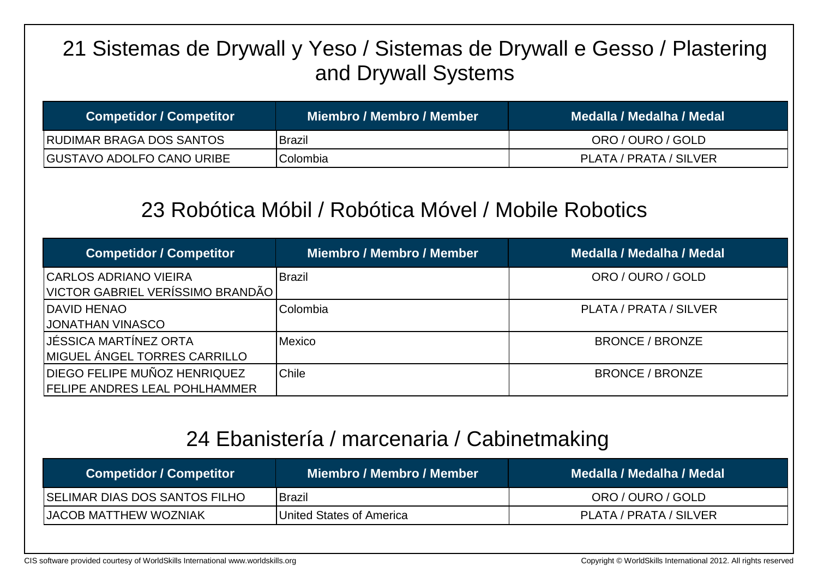## 21 Sistemas de Drywall y Yeso / Sistemas de Drywall e Gesso / Plastering and Drywall Systems

| <b>Competidor / Competitor</b>    | Miembro / Membro / Member | Medalla / Medalha / Medal |
|-----------------------------------|---------------------------|---------------------------|
| <b>IRUDIMAR BRAGA DOS SANTOS</b>  | <b>Brazil</b>             | ORO / OURO / GOLD         |
| <b>IGUSTAVO ADOLFO CANO URIBE</b> | Colombia                  | PLATA / PRATA / SILVER    |

#### 23 Robótica Móbil / Robótica Móvel / Mobile Robotics

| <b>Competidor / Competitor</b>                                        | Miembro / Membro / Member | Medalla / Medalha / Medal |
|-----------------------------------------------------------------------|---------------------------|---------------------------|
| CARLOS ADRIANO VIEIRA<br>VICTOR GABRIEL VERÍSSIMO BRANDÃO             | <b>Brazil</b>             | ORO / OURO / GOLD         |
| <b>IDAVID HENAO</b><br><b>JONATHAN VINASCO</b>                        | Colombia                  | PLATA / PRATA / SILVER    |
| JÉSSICA MARTÍNEZ ORTA<br>MIGUEL ÁNGEL TORRES CARRILLO                 | Mexico                    | <b>BRONCE / BRONZE</b>    |
| DIEGO FELIPE MUÑOZ HENRIQUEZ<br><b> FELIPE ANDRES LEAL POHLHAMMER</b> | Chile                     | <b>BRONCE / BRONZE</b>    |

#### 24 Ebanistería / marcenaria / Cabinetmaking

| <b>Competidor / Competitor</b> | Miembro / Membro / Member        | Medalla / Medalha / Medal |
|--------------------------------|----------------------------------|---------------------------|
| ISELIMAR DIAS DOS SANTOS FILHO | <b>IBrazil</b>                   | ORO / OURO / GOLD         |
| <b>IJACOB MATTHEW WOZNIAK</b>  | <b>IUnited States of America</b> | PLATA / PRATA / SILVER    |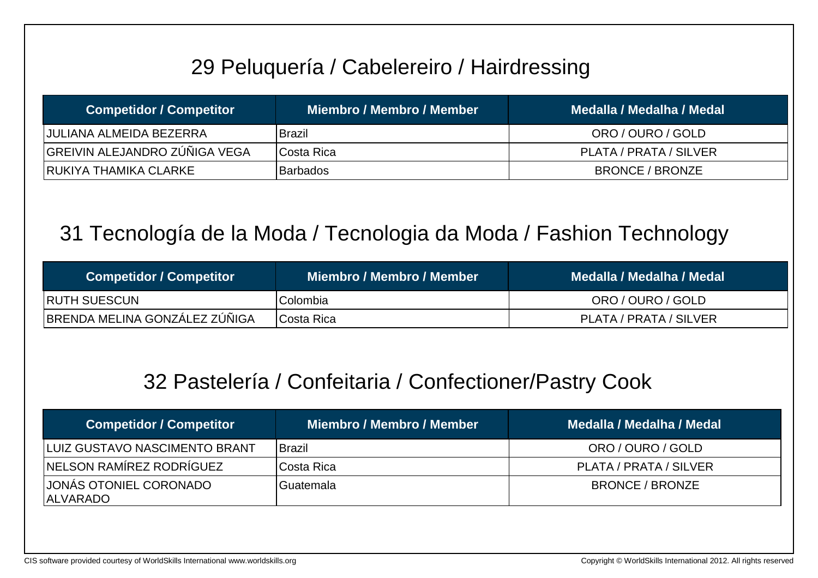## 29 Peluquería / Cabelereiro / Hairdressing

| <b>Competidor / Competitor</b> | Miembro / Membro / Member | Medalla / Medalha / Medal |
|--------------------------------|---------------------------|---------------------------|
| JJULIANA ALMEIDA BEZERRA       | <b>Brazil</b>             | ORO / OURO / GOLD         |
| GREIVIN ALEJANDRO ZÚÑIGA VEGA  | <b>ICosta Rica</b>        | PLATA / PRATA / SILVER    |
| IRUKIYA THAMIKA CLARKE         | <b>Barbados</b>           | <b>BRONCE / BRONZE</b>    |

### 31 Tecnología de la Moda / Tecnologia da Moda / Fashion Technology

| <b>Competidor / Competitor</b>        | Miembro / Membro / Member | Medalla / Medalha / Medal |
|---------------------------------------|---------------------------|---------------------------|
| <b>RUTH SUESCUN</b>                   | Colombia                  | ORO / OURO / GOLD         |
| <b>IBRENDA MELINA GONZALEZ ZUNIGA</b> | <b>ICosta Rica</b>        | PLATA / PRATA / SILVER    |

#### 32 Pastelería / Confeitaria / Confectioner/Pastry Cook

| <b>Competidor / Competitor</b>             | Miembro / Membro / Member | Medalla / Medalha / Medal |
|--------------------------------------------|---------------------------|---------------------------|
| <b>ILUIZ GUSTAVO NASCIMENTO BRANT</b>      | <b>Brazil</b>             | ORO / OURO / GOLD         |
| <b>INELSON RAMÍREZ RODRÍGUEZ</b>           | Costa Rica                | PLATA / PRATA / SILVER    |
| JONÁS OTONIEL CORONADO<br><b>IALVARADO</b> | lGuatemala                | <b>BRONCE / BRONZE</b>    |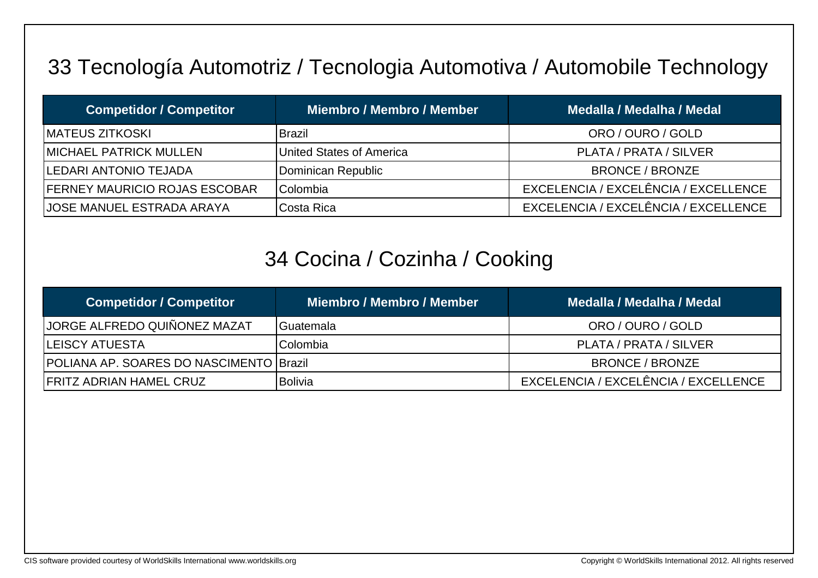## 33 Tecnología Automotriz / Tecnologia Automotiva / Automobile Technology

| <b>Competidor / Competitor</b>       | <b>Miembro / Membro / Member</b> | Medalla / Medalha / Medal            |
|--------------------------------------|----------------------------------|--------------------------------------|
| <b>IMATEUS ZITKOSKI</b>              | Brazil                           | ORO / OURO / GOLD                    |
| IMICHAEL PATRICK MULLEN              | United States of America         | PLATA / PRATA / SILVER               |
| <b>LEDARI ANTONIO TEJADA</b>         | Dominican Republic               | <b>BRONCE / BRONZE</b>               |
| <b>FERNEY MAURICIO ROJAS ESCOBAR</b> | Colombia                         | EXCELENCIA / EXCELÊNCIA / EXCELLENCE |
| <b>JOSE MANUEL ESTRADA ARAYA</b>     | Costa Rica                       | EXCELENCIA / EXCELÊNCIA / EXCELLENCE |

## 34 Cocina / Cozinha / Cooking

| <b>Competidor / Competitor</b>                 | Miembro / Membro / Member | Medalla / Medalha / Medal            |
|------------------------------------------------|---------------------------|--------------------------------------|
| <b>JORGE ALFREDO QUIÑONEZ MAZAT</b>            | <b>Guatemala</b>          | ORO / OURO / GOLD                    |
| <b>ILEISCY ATUESTA</b>                         | Colombia                  | PLATA / PRATA / SILVER               |
| <b>POLIANA AP. SOARES DO NASCIMENTO Brazil</b> |                           | BRONCE / BRONZE                      |
| <b>IFRITZ ADRIAN HAMEL CRUZ</b>                | Bolivia                   | EXCELENCIA / EXCELÊNCIA / EXCELLENCE |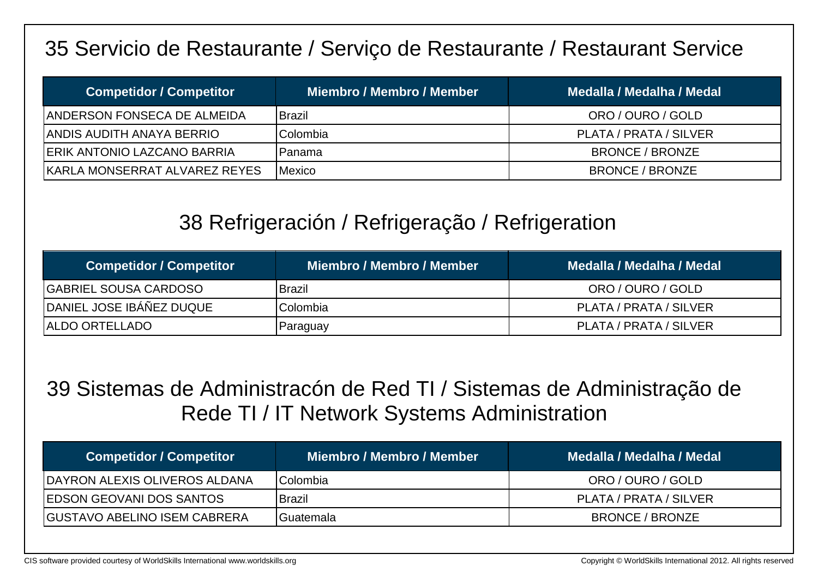## 35 Servicio de Restaurante / Serviço de Restaurante / Restaurant Service

| <b>Competidor / Competitor</b>       | Miembro / Membro / Member | Medalla / Medalha / Medal |
|--------------------------------------|---------------------------|---------------------------|
| <b>ANDERSON FONSECA DE ALMEIDA</b>   | <b>Brazil</b>             | ORO / OURO / GOLD         |
| <b>ANDIS AUDITH ANAYA BERRIO</b>     | <b>IColombia</b>          | PLATA / PRATA / SILVER    |
| <b>ERIK ANTONIO LAZCANO BARRIA</b>   | l Panama                  | BRONCE / BRONZE           |
| <b>KARLA MONSERRAT ALVAREZ REYES</b> | Mexico                    | BRONCE / BRONZE           |

### 38 Refrigeración / Refrigeração / Refrigeration

| <b>Competidor / Competitor</b> | Miembro / Membro / Member | Medalla / Medalha / Medal |
|--------------------------------|---------------------------|---------------------------|
| <b>GABRIEL SOUSA CARDOSO</b>   | <b>Brazil</b>             | ORO / OURO / GOLD         |
| DANIEL JOSE IBÁÑEZ DUQUE       | Colombia                  | PLATA / PRATA / SILVER    |
| <b>ALDO ORTELLADO</b>          | Paraguay                  | PLATA / PRATA / SILVER    |

39 Sistemas de Administracón de Red TI / Sistemas de Administração de Rede TI / IT Network Systems Administration

| <b>Competidor / Competitor</b>       | Miembro / Membro / Member | Medalla / Medalha / Medal |
|--------------------------------------|---------------------------|---------------------------|
| IDAYRON ALEXIS OLIVEROS ALDANA       | <b>IColombia</b>          | ORO / OURO / GOLD         |
| <b>IEDSON GEOVANI DOS SANTOS</b>     | <b>Brazil</b>             | PLATA / PRATA / SILVER    |
| <b>IGUSTAVO ABELINO ISEM CABRERA</b> | IGuatemala                | BRONCE / BRONZE           |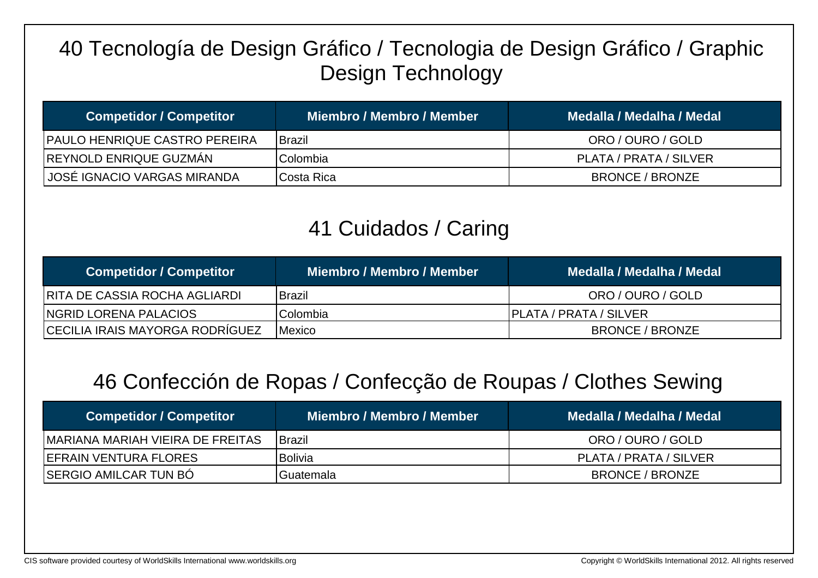## 40 Tecnología de Design Gráfico / Tecnologia de Design Gráfico / Graphic Design Technology

| <b>Competidor / Competitor</b>       | Miembro / Membro / Member | Medalla / Medalha / Medal |
|--------------------------------------|---------------------------|---------------------------|
| <b>PAULO HENRIQUE CASTRO PEREIRA</b> | <b>Brazil</b>             | ORO / OURO / GOLD         |
| <b>IREYNOLD ENRIQUE GUZMAN</b>       | IColombia                 | PLATA / PRATA / SILVER    |
| JOSÉ IGNACIO VARGAS MIRANDA          | <b>ICosta Rica</b>        | <b>BRONCE / BRONZE</b>    |

## 41 Cuidados / Caring

| <b>Competidor / Competitor</b>          | Miembro / Membro / Member | Medalla / Medalha / Medal |
|-----------------------------------------|---------------------------|---------------------------|
| <b>IRITA DE CASSIA ROCHA AGLIARDI</b>   | <b>Brazil</b>             | ORO / OURO / GOLD         |
| INGRID LORENA PALACIOS                  | lColombia                 | IPLATA / PRATA / SILVER   |
| <b>ICECILIA IRAIS MAYORGA RODRIGUEZ</b> | Mexico                    | <b>BRONCE / BRONZE</b>    |

### 46 Confección de Ropas / Confecção de Roupas / Clothes Sewing

| <b>Competidor / Competitor</b>    | Miembro / Membro / Member | Medalla / Medalha / Medal |
|-----------------------------------|---------------------------|---------------------------|
| IMARIANA MARIAH VIEIRA DE FREITAS | <b>IBrazil</b>            | ORO / OURO / GOLD         |
| <b>IEFRAIN VENTURA FLORES</b>     | Bolivia                   | PLATA / PRATA / SILVER    |
| <b>ISERGIO AMILCAR TUN BO</b>     | <b>Guatemala</b>          | BRONCE / BRONZE           |